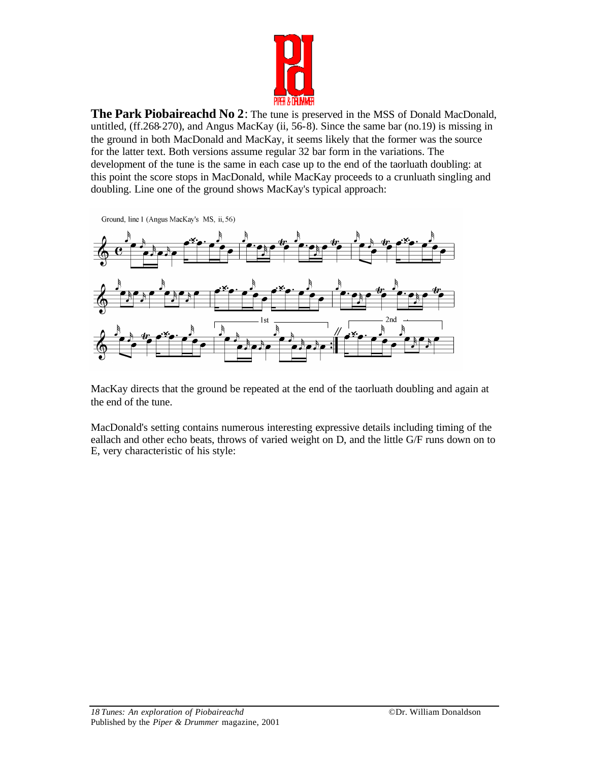

**The Park Piobaireachd No 2**: The tune is preserved in the MSS of Donald MacDonald, untitled, (ff.268-270), and Angus MacKay (ii, 56-8). Since the same bar (no.19) is missing in the ground in both MacDonald and MacKay, it seems likely that the former was the source for the latter text. Both versions assume regular 32 bar form in the variations. The development of the tune is the same in each case up to the end of the taorluath doubling: at this point the score stops in MacDonald, while MacKay proceeds to a crunluath singling and doubling. Line one of the ground shows MacKay's typical approach:

Ground, line 1 (Angus MacKay's MS, ii, 56)



MacKay directs that the ground be repeated at the end of the taorluath doubling and again at the end of the tune.

MacDonald's setting contains numerous interesting expressive details including timing of the eallach and other echo beats, throws of varied weight on D, and the little G/F runs down on to E, very characteristic of his style: